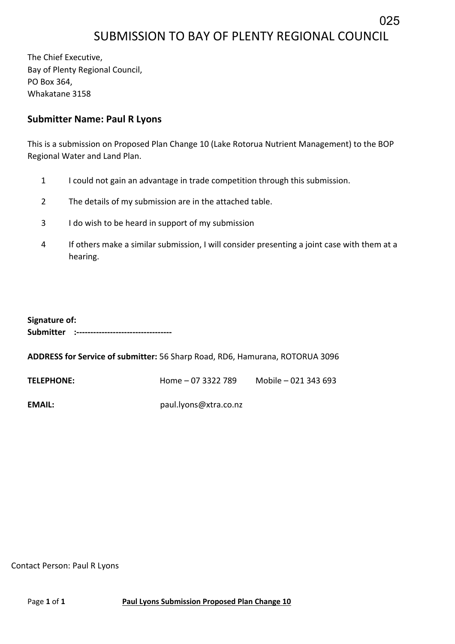## SUBMISSION TO BAY OF PLENTY REGIONAL COUNCIL

025

The Chief Executive, Bay of Plenty Regional Council, PO Box 364, Whakatane 3158

## **Submitter Name: Paul R Lyons**

This is a submission on Proposed Plan Change 10 (Lake Rotorua Nutrient Management) to the BOP Regional Water and Land Plan.

- 1 I could not gain an advantage in trade competition through this submission.
- 2 The details of my submission are in the attached table.
- 3 I do wish to be heard in support of my submission
- 4 If others make a similar submission, I will consider presenting a joint case with them at a hearing.

| Signature of: |                                             |  |  |  |  |
|---------------|---------------------------------------------|--|--|--|--|
|               | Submitter :-------------------------------- |  |  |  |  |
|               |                                             |  |  |  |  |

**ADDRESS for Service of submitter:** 56 Sharp Road, RD6, Hamurana, ROTORUA 3096

**TELEPHONE:** Home – 07 3322 789 Mobile – 021 343 693

**EMAIL:** paul.lyons@xtra.co.nz

Contact Person: Paul R Lyons